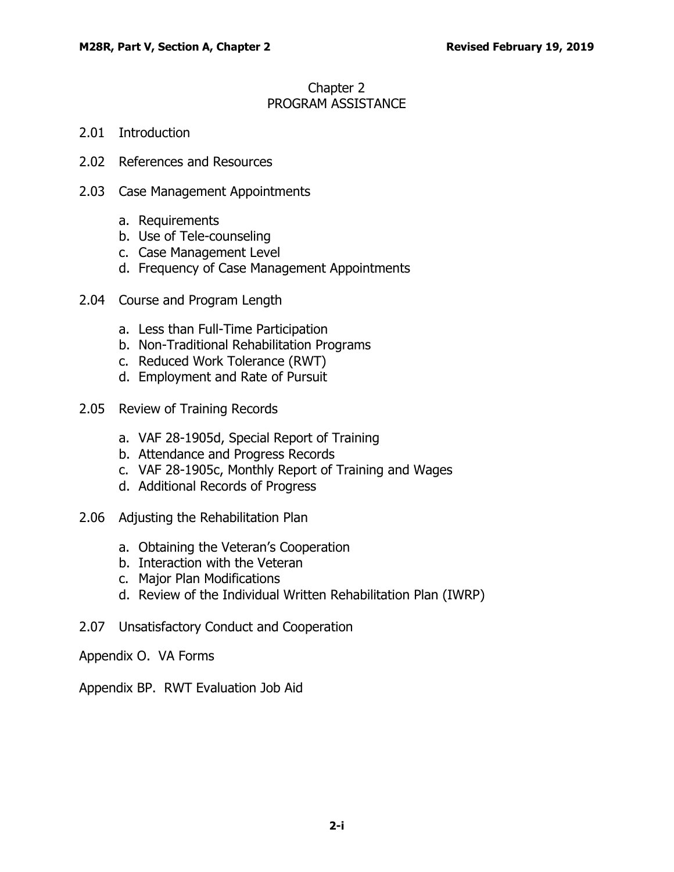### Chapter 2 PROGRAM ASSISTANCE

- 2.01 [Introduction](#page-1-0)
- 2.02 [References and Resources](#page-1-1)
- 2.03 [Case Management Appointments](#page-2-0)
	- a. [Requirements](#page-2-1)
	- b. [Use of Tele-counseling](#page-3-0)
	- c. [Case Management Level](#page-5-0)
	- d. [Frequency of Case Management Appointments](#page-7-0)
- 2.04 [Course and Program Length](#page-9-0)
	- a. [Less than Full-Time Participation](#page-9-1)
	- b. [Non-Traditional Rehabilitation Programs](#page-10-0)
	- c. [Reduced Work Tolerance \(RWT\)](#page-12-0)
	- d. [Employment and Rate of Pursuit](#page-14-0)
- 2.05 [Review of Training Records](#page-15-0)
	- a. [VAF 28-1905d, Special Report of Training](#page-15-1)
	- b. [Attendance and Progress Records](#page-16-0)
	- c. [VAF 28-1905c, Monthly Report of Training and Wages](#page-16-1)
	- d. [Additional Records of Progress](#page-18-0)
- 2.06 [Adjusting the Rehabilitation Plan](#page-18-1)
	- a. [Obtaining the Veteran's Cooperation](#page-18-2)
	- b. [Interaction with the Veteran](#page-18-3)
	- c. [Major Plan Modifications](#page-19-0)
	- d. [Review of the Individual Written Rehabilitation Plan \(IWRP\)](#page-20-0)
- 2.07 [Unsatisfactory Conduct and Cooperation](#page-20-1)
- Appendix O. VA Forms
- Appendix BP. RWT Evaluation Job Aid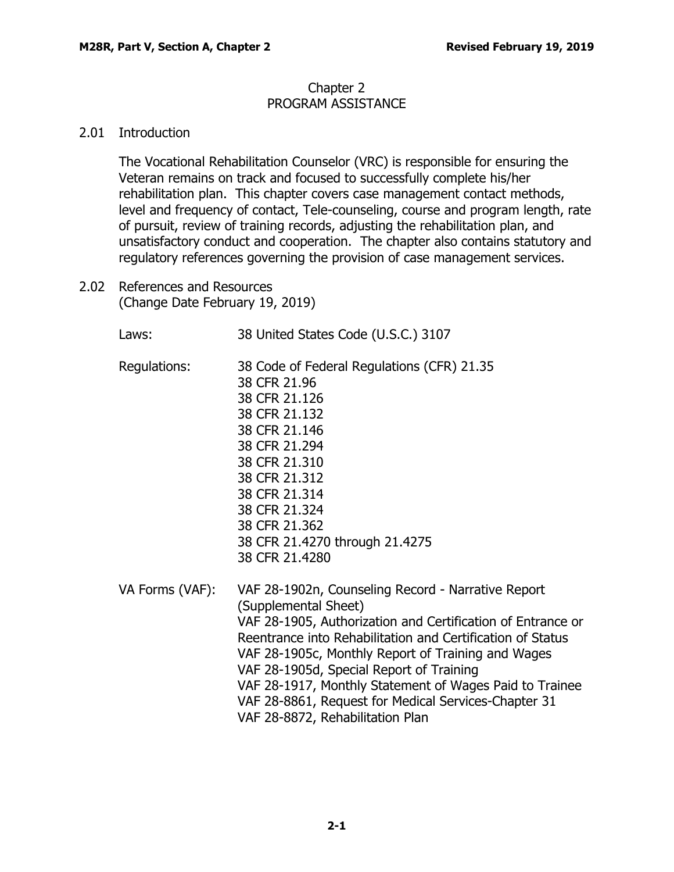#### Chapter 2 PROGRAM ASSISTANCE

## <span id="page-1-0"></span>2.01 Introduction

The Vocational Rehabilitation Counselor (VRC) is responsible for ensuring the Veteran remains on track and focused to successfully complete his/her rehabilitation plan. This chapter covers case management contact methods, level and frequency of contact, Tele-counseling, course and program length, rate of pursuit, review of training records, adjusting the rehabilitation plan, and unsatisfactory conduct and cooperation. The chapter also contains statutory and regulatory references governing the provision of case management services.

<span id="page-1-1"></span>2.02 References and Resources (Change Date February 19, 2019)

> Laws: 38 United States Code (U.S.C.) 3107 Regulations: 38 Code of Federal Regulations (CFR) 21.35 38 CFR 21.96 38 CFR 21.126 38 CFR 21.132 38 CFR 21.146 38 CFR 21.294 38 CFR 21.310 38 CFR 21.312 38 CFR 21.314 38 CFR 21.324 38 CFR 21.362 38 CFR 21.4270 through 21.4275 38 CFR 21.4280 VA Forms (VAF): VAF 28-1902n, Counseling Record - Narrative Report (Supplemental Sheet) VAF 28-1905, Authorization and Certification of Entrance or Reentrance into Rehabilitation and Certification of Status VAF 28-1905c, Monthly Report of Training and Wages VAF 28-1905d, Special Report of Training VAF 28-1917, Monthly Statement of Wages Paid to Trainee VAF 28-8861, Request for Medical Services-Chapter 31 VAF 28-8872, Rehabilitation Plan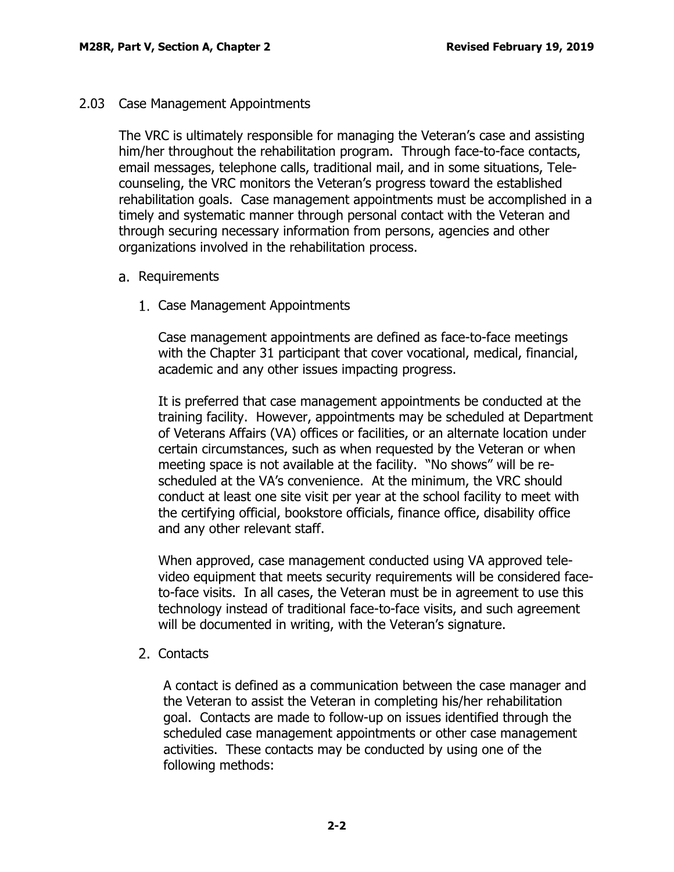### <span id="page-2-0"></span>2.03 Case Management Appointments

The VRC is ultimately responsible for managing the Veteran's case and assisting him/her throughout the rehabilitation program. Through face-to-face contacts, email messages, telephone calls, traditional mail, and in some situations, Telecounseling, the VRC monitors the Veteran's progress toward the established rehabilitation goals. Case management appointments must be accomplished in a timely and systematic manner through personal contact with the Veteran and through securing necessary information from persons, agencies and other organizations involved in the rehabilitation process.

- <span id="page-2-1"></span>a. Requirements
	- 1. Case Management Appointments

Case management appointments are defined as face-to-face meetings with the Chapter 31 participant that cover vocational, medical, financial, academic and any other issues impacting progress.

It is preferred that case management appointments be conducted at the training facility. However, appointments may be scheduled at Department of Veterans Affairs (VA) offices or facilities, or an alternate location under certain circumstances, such as when requested by the Veteran or when meeting space is not available at the facility. "No shows" will be rescheduled at the VA's convenience. At the minimum, the VRC should conduct at least one site visit per year at the school facility to meet with the certifying official, bookstore officials, finance office, disability office and any other relevant staff.

When approved, case management conducted using VA approved televideo equipment that meets security requirements will be considered faceto-face visits. In all cases, the Veteran must be in agreement to use this technology instead of traditional face-to-face visits, and such agreement will be documented in writing, with the Veteran's signature.

## 2. Contacts

A contact is defined as a communication between the case manager and the Veteran to assist the Veteran in completing his/her rehabilitation goal. Contacts are made to follow-up on issues identified through the scheduled case management appointments or other case management activities. These contacts may be conducted by using one of the following methods: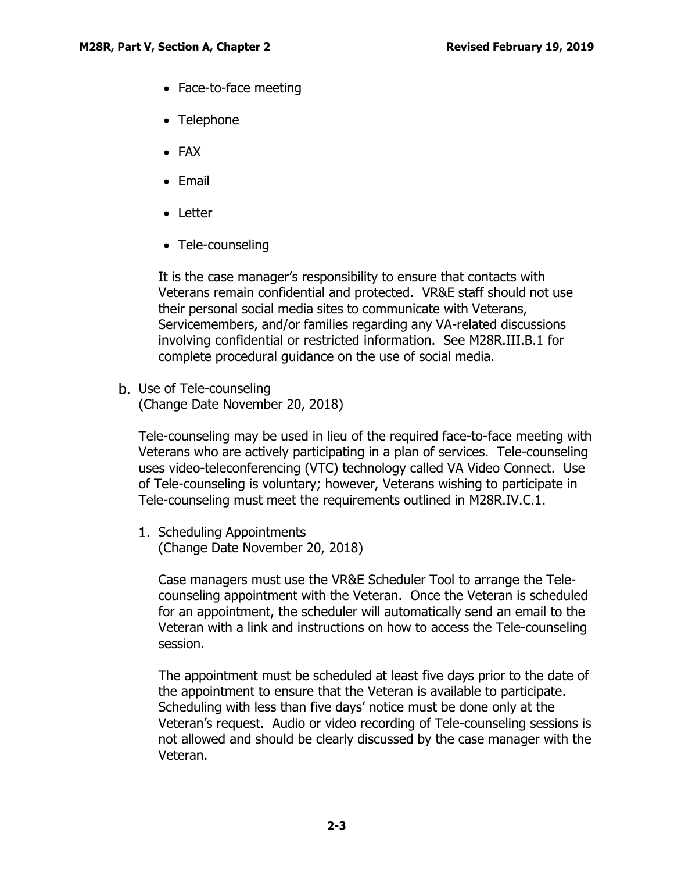- Face-to-face meeting
- Telephone
- FAX
- Email
- Letter
- Tele-counseling

It is the case manager's responsibility to ensure that contacts with Veterans remain confidential and protected. VR&E staff should not use their personal social media sites to communicate with Veterans, Servicemembers, and/or families regarding any VA-related discussions involving confidential or restricted information. See M28R.III.B.1 for complete procedural guidance on the use of social media.

<span id="page-3-0"></span>b. Use of Tele-counseling (Change Date November 20, 2018)

Tele-counseling may be used in lieu of the required face-to-face meeting with Veterans who are actively participating in a plan of services. Tele-counseling uses video-teleconferencing (VTC) technology called VA Video Connect. Use of Tele-counseling is voluntary; however, Veterans wishing to participate in Tele-counseling must meet the requirements outlined in M28R.IV.C.1.

1. Scheduling Appointments (Change Date November 20, 2018)

Case managers must use the VR&E Scheduler Tool to arrange the Telecounseling appointment with the Veteran. Once the Veteran is scheduled for an appointment, the scheduler will automatically send an email to the Veteran with a link and instructions on how to access the Tele-counseling session.

The appointment must be scheduled at least five days prior to the date of the appointment to ensure that the Veteran is available to participate. Scheduling with less than five days' notice must be done only at the Veteran's request. Audio or video recording of Tele-counseling sessions is not allowed and should be clearly discussed by the case manager with the Veteran.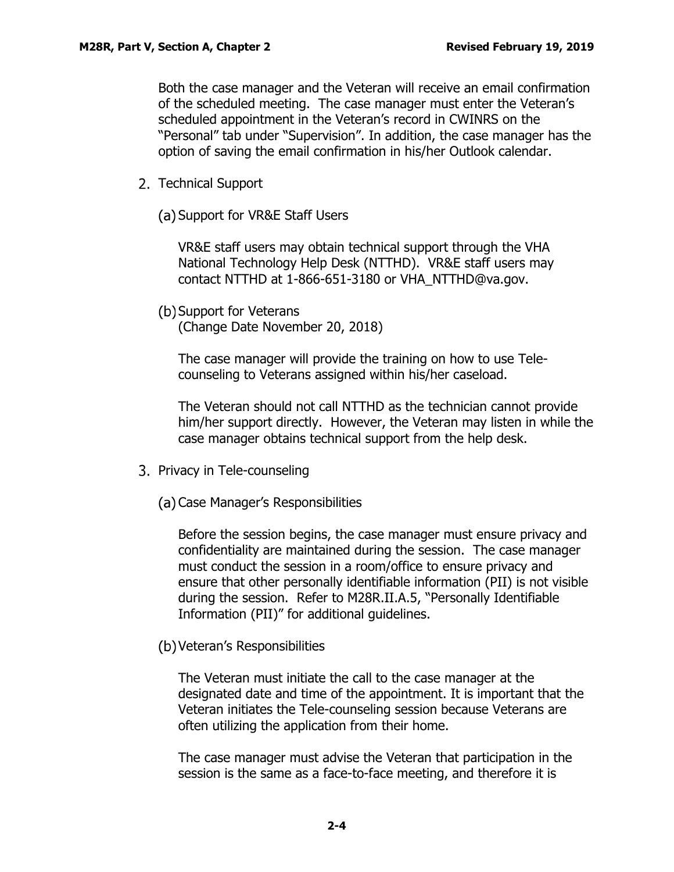Both the case manager and the Veteran will receive an email confirmation of the scheduled meeting. The case manager must enter the Veteran's scheduled appointment in the Veteran's record in CWINRS on the "Personal" tab under "Supervision". In addition, the case manager has the option of saving the email confirmation in his/her Outlook calendar.

- 2. Technical Support
	- (a) Support for VR&E Staff Users

VR&E staff users may obtain technical support through the VHA National Technology Help Desk (NTTHD). VR&E staff users may contact NTTHD at 1-866-651-3180 or VHA\_NTTHD@va.gov.

(b) Support for Veterans

(Change Date November 20, 2018)

The case manager will provide the training on how to use Telecounseling to Veterans assigned within his/her caseload.

The Veteran should not call NTTHD as the technician cannot provide him/her support directly. However, the Veteran may listen in while the case manager obtains technical support from the help desk.

- 3. Privacy in Tele-counseling
	- (a) Case Manager's Responsibilities

Before the session begins, the case manager must ensure privacy and confidentiality are maintained during the session. The case manager must conduct the session in a room/office to ensure privacy and ensure that other personally identifiable information (PII) is not visible during the session. Refer to M28R.II.A.5, "Personally Identifiable Information (PII)" for additional guidelines.

Veteran's Responsibilities

The Veteran must initiate the call to the case manager at the designated date and time of the appointment. It is important that the Veteran initiates the Tele-counseling session because Veterans are often utilizing the application from their home.

The case manager must advise the Veteran that participation in the session is the same as a face-to-face meeting, and therefore it is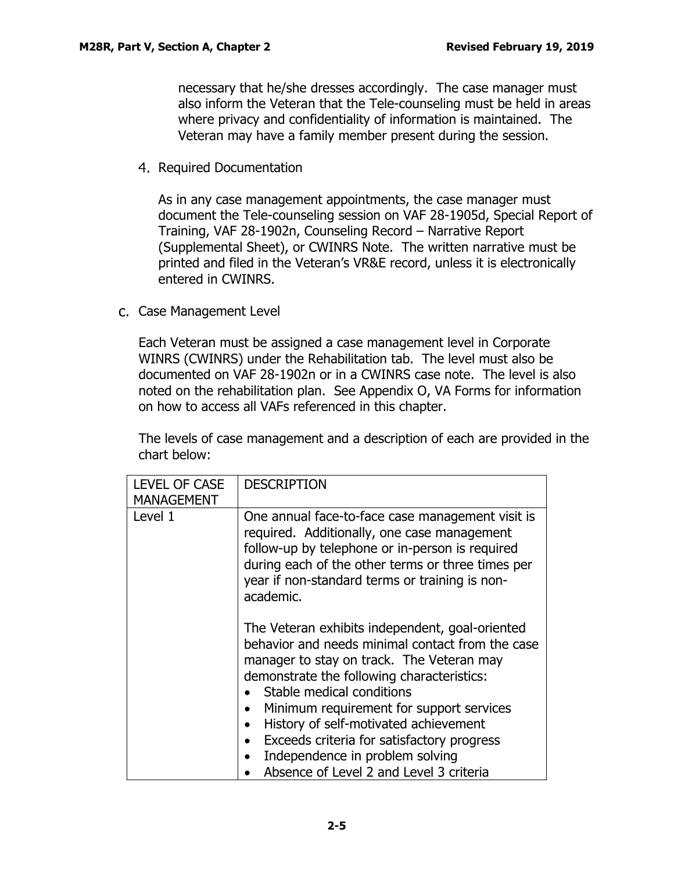necessary that he/she dresses accordingly. The case manager must also inform the Veteran that the Tele-counseling must be held in areas where privacy and confidentiality of information is maintained. The Veteran may have a family member present during the session.

4. Required Documentation

As in any case management appointments, the case manager must document the Tele-counseling session on VAF 28-1905d, Special Report of Training, VAF 28-1902n, Counseling Record – Narrative Report (Supplemental Sheet), or CWINRS Note. The written narrative must be printed and filed in the Veteran's VR&E record, unless it is electronically entered in CWINRS.

<span id="page-5-0"></span>c. Case Management Level

Each Veteran must be assigned a case management level in Corporate WINRS (CWINRS) under the Rehabilitation tab. The level must also be documented on VAF 28-1902n or in a CWINRS case note. The level is also noted on the rehabilitation plan. See Appendix O, VA Forms for information on how to access all VAFs referenced in this chapter.

The levels of case management and a description of each are provided in the chart below:

| <b>LEVEL OF CASE</b><br><b>MANAGEMENT</b> | <b>DESCRIPTION</b>                                                                                                                                                                                                                                                                                                                                                                                                                           |
|-------------------------------------------|----------------------------------------------------------------------------------------------------------------------------------------------------------------------------------------------------------------------------------------------------------------------------------------------------------------------------------------------------------------------------------------------------------------------------------------------|
| Level 1                                   | One annual face-to-face case management visit is<br>required. Additionally, one case management<br>follow-up by telephone or in-person is required<br>during each of the other terms or three times per<br>year if non-standard terms or training is non-<br>academic.                                                                                                                                                                       |
|                                           | The Veteran exhibits independent, goal-oriented<br>behavior and needs minimal contact from the case<br>manager to stay on track. The Veteran may<br>demonstrate the following characteristics:<br>Stable medical conditions<br>Minimum requirement for support services<br>History of self-motivated achievement<br>Exceeds criteria for satisfactory progress<br>Independence in problem solving<br>Absence of Level 2 and Level 3 criteria |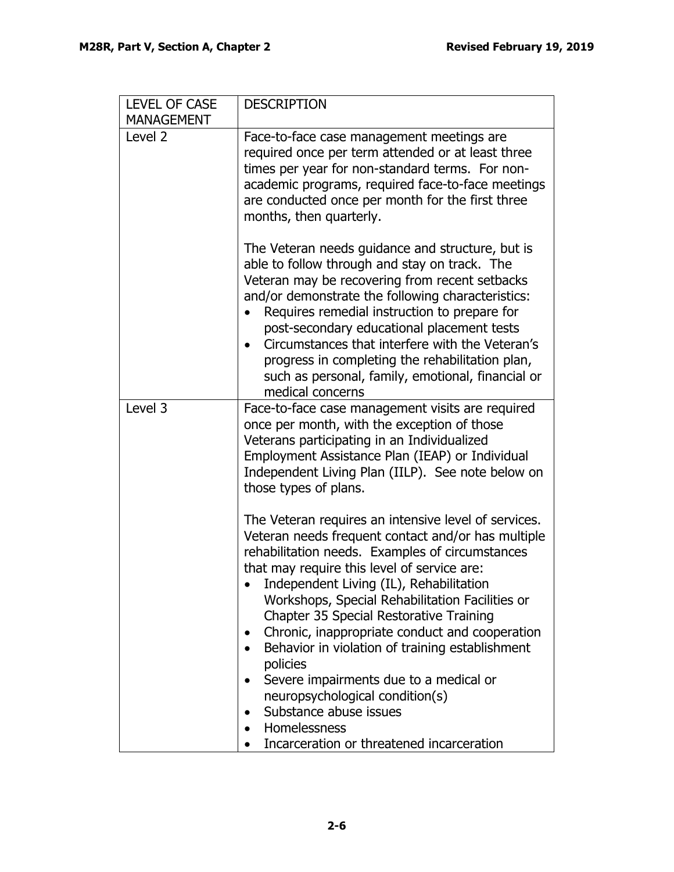| <b>DESCRIPTION</b>                                                                                                                                                                                                                                                                                                                                                                                                                                                                                                                                                                                                                                                                                                       |
|--------------------------------------------------------------------------------------------------------------------------------------------------------------------------------------------------------------------------------------------------------------------------------------------------------------------------------------------------------------------------------------------------------------------------------------------------------------------------------------------------------------------------------------------------------------------------------------------------------------------------------------------------------------------------------------------------------------------------|
|                                                                                                                                                                                                                                                                                                                                                                                                                                                                                                                                                                                                                                                                                                                          |
| Face-to-face case management meetings are<br>required once per term attended or at least three<br>times per year for non-standard terms. For non-<br>academic programs, required face-to-face meetings<br>are conducted once per month for the first three<br>months, then quarterly.                                                                                                                                                                                                                                                                                                                                                                                                                                    |
| The Veteran needs guidance and structure, but is<br>able to follow through and stay on track. The<br>Veteran may be recovering from recent setbacks<br>and/or demonstrate the following characteristics:<br>Requires remedial instruction to prepare for<br>post-secondary educational placement tests<br>Circumstances that interfere with the Veteran's<br>progress in completing the rehabilitation plan,<br>such as personal, family, emotional, financial or<br>medical concerns                                                                                                                                                                                                                                    |
| Face-to-face case management visits are required<br>once per month, with the exception of those<br>Veterans participating in an Individualized<br>Employment Assistance Plan (IEAP) or Individual<br>Independent Living Plan (IILP). See note below on<br>those types of plans.                                                                                                                                                                                                                                                                                                                                                                                                                                          |
| The Veteran requires an intensive level of services.<br>Veteran needs frequent contact and/or has multiple<br>rehabilitation needs. Examples of circumstances<br>that may require this level of service are:<br>Independent Living (IL), Rehabilitation<br>Workshops, Special Rehabilitation Facilities or<br>Chapter 35 Special Restorative Training<br>Chronic, inappropriate conduct and cooperation<br>$\bullet$<br>Behavior in violation of training establishment<br>$\bullet$<br>policies<br>Severe impairments due to a medical or<br>$\bullet$<br>neuropsychological condition(s)<br>Substance abuse issues<br>$\bullet$<br>Homelessness<br>$\bullet$<br>Incarceration or threatened incarceration<br>$\bullet$ |
|                                                                                                                                                                                                                                                                                                                                                                                                                                                                                                                                                                                                                                                                                                                          |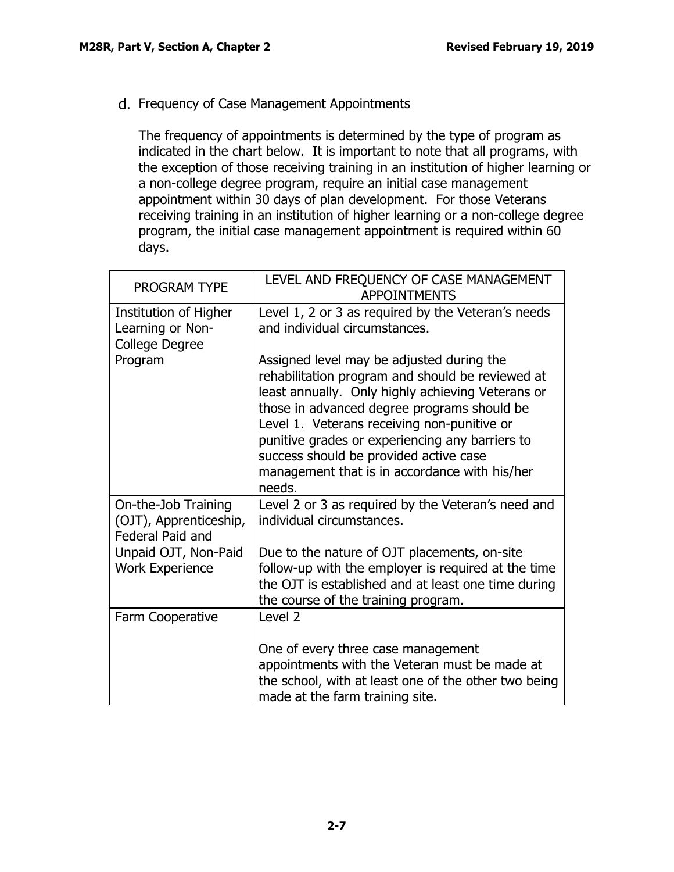<span id="page-7-0"></span>Frequency of Case Management Appointments

The frequency of appointments is determined by the type of program as indicated in the chart below. It is important to note that all programs, with the exception of those receiving training in an institution of higher learning or a non-college degree program, require an initial case management appointment within 30 days of plan development. For those Veterans receiving training in an institution of higher learning or a non-college degree program, the initial case management appointment is required within 60 days.

| <b>PROGRAM TYPE</b>                                               | LEVEL AND FREQUENCY OF CASE MANAGEMENT<br><b>APPOINTMENTS</b>                                                                                                                                                                                                                                                                                                                                            |
|-------------------------------------------------------------------|----------------------------------------------------------------------------------------------------------------------------------------------------------------------------------------------------------------------------------------------------------------------------------------------------------------------------------------------------------------------------------------------------------|
| Institution of Higher<br>Learning or Non-<br>College Degree       | Level 1, 2 or 3 as required by the Veteran's needs<br>and individual circumstances.                                                                                                                                                                                                                                                                                                                      |
| Program                                                           | Assigned level may be adjusted during the<br>rehabilitation program and should be reviewed at<br>least annually. Only highly achieving Veterans or<br>those in advanced degree programs should be<br>Level 1. Veterans receiving non-punitive or<br>punitive grades or experiencing any barriers to<br>success should be provided active case<br>management that is in accordance with his/her<br>needs. |
| On-the-Job Training<br>(OJT), Apprenticeship,<br>Federal Paid and | Level 2 or 3 as required by the Veteran's need and<br>individual circumstances.                                                                                                                                                                                                                                                                                                                          |
| Unpaid OJT, Non-Paid<br><b>Work Experience</b>                    | Due to the nature of OJT placements, on-site<br>follow-up with the employer is required at the time<br>the OJT is established and at least one time during<br>the course of the training program.                                                                                                                                                                                                        |
| Farm Cooperative                                                  | Level <sub>2</sub>                                                                                                                                                                                                                                                                                                                                                                                       |
|                                                                   | One of every three case management<br>appointments with the Veteran must be made at<br>the school, with at least one of the other two being<br>made at the farm training site.                                                                                                                                                                                                                           |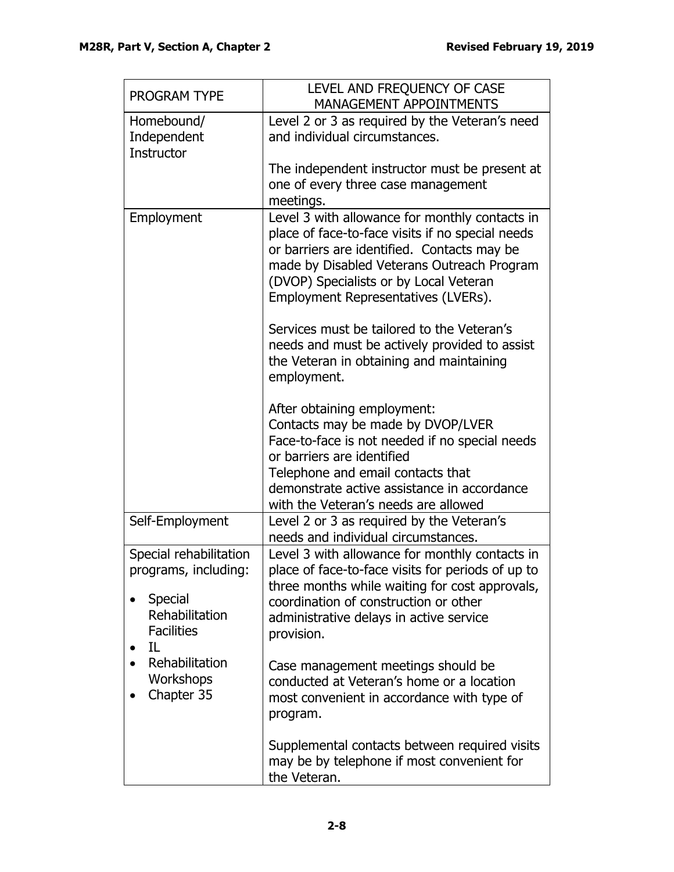| PROGRAM TYPE                                                                                                                                        | LEVEL AND FREQUENCY OF CASE<br><b>MANAGEMENT APPOINTMENTS</b>                                                                                                                                                                                                                    |
|-----------------------------------------------------------------------------------------------------------------------------------------------------|----------------------------------------------------------------------------------------------------------------------------------------------------------------------------------------------------------------------------------------------------------------------------------|
| Homebound/<br>Independent<br>Instructor                                                                                                             | Level 2 or 3 as required by the Veteran's need<br>and individual circumstances.                                                                                                                                                                                                  |
|                                                                                                                                                     | The independent instructor must be present at<br>one of every three case management<br>meetings.                                                                                                                                                                                 |
| Employment                                                                                                                                          | Level 3 with allowance for monthly contacts in<br>place of face-to-face visits if no special needs<br>or barriers are identified. Contacts may be<br>made by Disabled Veterans Outreach Program<br>(DVOP) Specialists or by Local Veteran<br>Employment Representatives (LVERs). |
|                                                                                                                                                     | Services must be tailored to the Veteran's<br>needs and must be actively provided to assist<br>the Veteran in obtaining and maintaining<br>employment.                                                                                                                           |
|                                                                                                                                                     | After obtaining employment:<br>Contacts may be made by DVOP/LVER<br>Face-to-face is not needed if no special needs<br>or barriers are identified<br>Telephone and email contacts that<br>demonstrate active assistance in accordance                                             |
| Self-Employment                                                                                                                                     | with the Veteran's needs are allowed<br>Level 2 or 3 as required by the Veteran's<br>needs and individual circumstances.                                                                                                                                                         |
| Special rehabilitation<br>programs, including:<br>Special<br>Rehabilitation<br><b>Facilities</b><br>IL<br>Rehabilitation<br>Workshops<br>Chapter 35 | Level 3 with allowance for monthly contacts in<br>place of face-to-face visits for periods of up to<br>three months while waiting for cost approvals,<br>coordination of construction or other<br>administrative delays in active service<br>provision.                          |
|                                                                                                                                                     | Case management meetings should be<br>conducted at Veteran's home or a location<br>most convenient in accordance with type of<br>program.                                                                                                                                        |
|                                                                                                                                                     | Supplemental contacts between required visits<br>may be by telephone if most convenient for<br>the Veteran.                                                                                                                                                                      |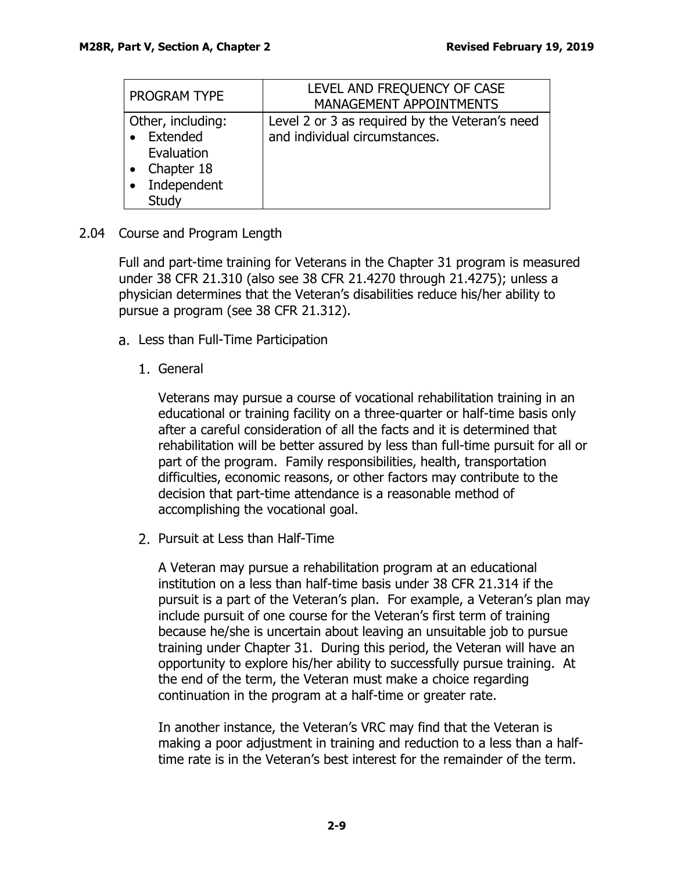| PROGRAM TYPE      | LEVEL AND FREQUENCY OF CASE                    |
|-------------------|------------------------------------------------|
|                   | MANAGEMENT APPOINTMENTS                        |
| Other, including: | Level 2 or 3 as required by the Veteran's need |
| Extended          | and individual circumstances.                  |
| Evaluation        |                                                |
| Chapter 18        |                                                |
| Independent       |                                                |
| Study             |                                                |

# <span id="page-9-0"></span>2.04 Course and Program Length

Full and part-time training for Veterans in the Chapter 31 program is measured under 38 CFR 21.310 (also see 38 CFR 21.4270 through 21.4275); unless a physician determines that the Veteran's disabilities reduce his/her ability to pursue a program (see 38 CFR 21.312).

- <span id="page-9-1"></span>a. Less than Full-Time Participation
	- 1. General

Veterans may pursue a course of vocational rehabilitation training in an educational or training facility on a three-quarter or half-time basis only after a careful consideration of all the facts and it is determined that rehabilitation will be better assured by less than full-time pursuit for all or part of the program. Family responsibilities, health, transportation difficulties, economic reasons, or other factors may contribute to the decision that part-time attendance is a reasonable method of accomplishing the vocational goal.

2. Pursuit at Less than Half-Time

A Veteran may pursue a rehabilitation program at an educational institution on a less than half-time basis under 38 CFR 21.314 if the pursuit is a part of the Veteran's plan. For example, a Veteran's plan may include pursuit of one course for the Veteran's first term of training because he/she is uncertain about leaving an unsuitable job to pursue training under Chapter 31. During this period, the Veteran will have an opportunity to explore his/her ability to successfully pursue training. At the end of the term, the Veteran must make a choice regarding continuation in the program at a half-time or greater rate.

In another instance, the Veteran's VRC may find that the Veteran is making a poor adjustment in training and reduction to a less than a halftime rate is in the Veteran's best interest for the remainder of the term.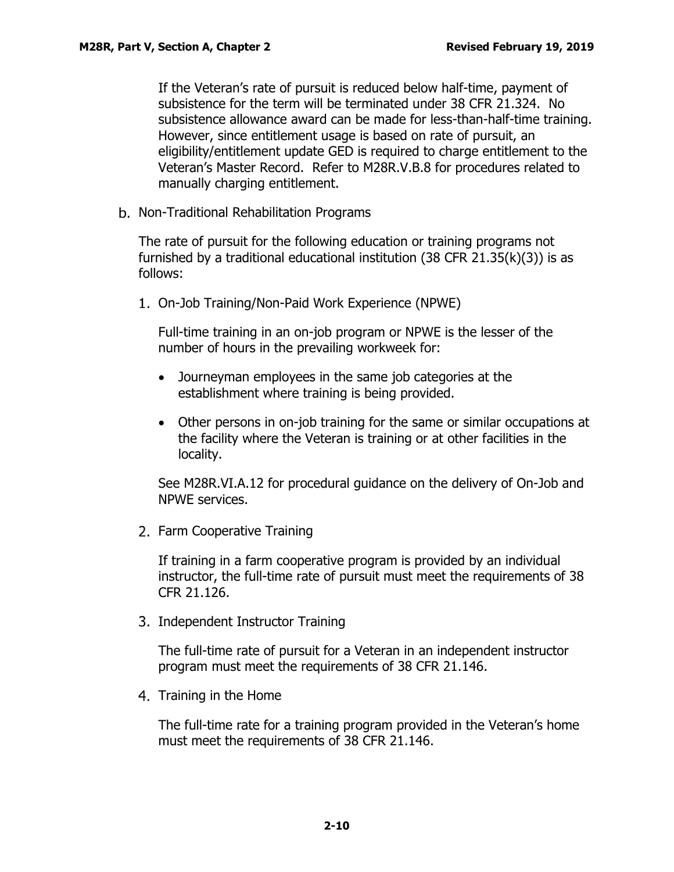If the Veteran's rate of pursuit is reduced below half-time, payment of subsistence for the term will be terminated under 38 CFR 21.324. No subsistence allowance award can be made for less-than-half-time training. However, since entitlement usage is based on rate of pursuit, an eligibility/entitlement update GED is required to charge entitlement to the Veteran's Master Record. Refer to M28R.V.B.8 for procedures related to manually charging entitlement.

<span id="page-10-0"></span>b. Non-Traditional Rehabilitation Programs

The rate of pursuit for the following education or training programs not furnished by a traditional educational institution (38 CFR 21.35(k)(3)) is as follows:

On-Job Training/Non-Paid Work Experience (NPWE)

Full-time training in an on-job program or NPWE is the lesser of the number of hours in the prevailing workweek for:

- Journeyman employees in the same job categories at the establishment where training is being provided.
- Other persons in on-job training for the same or similar occupations at the facility where the Veteran is training or at other facilities in the locality.

See M28R.VI.A.12 for procedural guidance on the delivery of On-Job and NPWE services.

2. Farm Cooperative Training

If training in a farm cooperative program is provided by an individual instructor, the full-time rate of pursuit must meet the requirements of 38 CFR 21.126.

3. Independent Instructor Training

The full-time rate of pursuit for a Veteran in an independent instructor program must meet the requirements of 38 CFR 21.146.

4. Training in the Home

The full-time rate for a training program provided in the Veteran's home must meet the requirements of 38 CFR 21.146.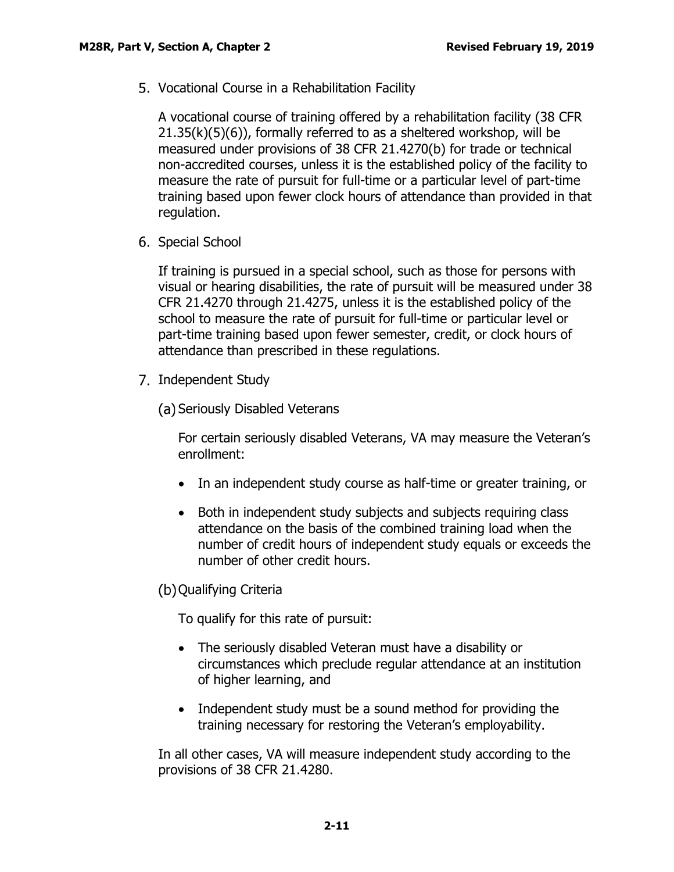Vocational Course in a Rehabilitation Facility

A vocational course of training offered by a rehabilitation facility (38 CFR  $21.35(k)(5)(6)$ , formally referred to as a sheltered workshop, will be measured under provisions of 38 CFR 21.4270(b) for trade or technical non-accredited courses, unless it is the established policy of the facility to measure the rate of pursuit for full-time or a particular level of part-time training based upon fewer clock hours of attendance than provided in that regulation.

6. Special School

If training is pursued in a special school, such as those for persons with visual or hearing disabilities, the rate of pursuit will be measured under 38 CFR 21.4270 through 21.4275, unless it is the established policy of the school to measure the rate of pursuit for full-time or particular level or part-time training based upon fewer semester, credit, or clock hours of attendance than prescribed in these regulations.

7. Independent Study

(a) Seriously Disabled Veterans

For certain seriously disabled Veterans, VA may measure the Veteran's enrollment:

- In an independent study course as half-time or greater training, or
- Both in independent study subjects and subjects requiring class attendance on the basis of the combined training load when the number of credit hours of independent study equals or exceeds the number of other credit hours.

(b) Qualifying Criteria

To qualify for this rate of pursuit:

- The seriously disabled Veteran must have a disability or circumstances which preclude regular attendance at an institution of higher learning, and
- Independent study must be a sound method for providing the training necessary for restoring the Veteran's employability.

In all other cases, VA will measure independent study according to the provisions of 38 CFR 21.4280.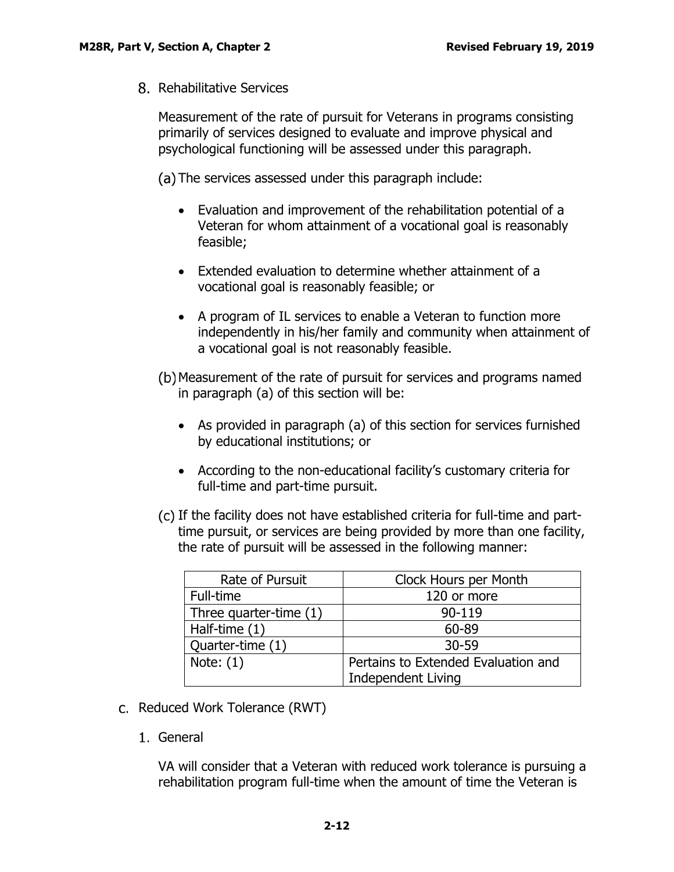Rehabilitative Services

Measurement of the rate of pursuit for Veterans in programs consisting primarily of services designed to evaluate and improve physical and psychological functioning will be assessed under this paragraph.

(a) The services assessed under this paragraph include:

- Evaluation and improvement of the rehabilitation potential of a Veteran for whom attainment of a vocational goal is reasonably feasible;
- Extended evaluation to determine whether attainment of a vocational goal is reasonably feasible; or
- A program of IL services to enable a Veteran to function more independently in his/her family and community when attainment of a vocational goal is not reasonably feasible.
- Measurement of the rate of pursuit for services and programs named in paragraph (a) of this section will be:
	- As provided in paragraph (a) of this section for services furnished by educational institutions; or
	- According to the non-educational facility's customary criteria for full-time and part-time pursuit.
- If the facility does not have established criteria for full-time and parttime pursuit, or services are being provided by more than one facility, the rate of pursuit will be assessed in the following manner:

| Rate of Pursuit        | Clock Hours per Month               |
|------------------------|-------------------------------------|
| Full-time              | 120 or more                         |
| Three quarter-time (1) | 90-119                              |
| Half-time (1)          | 60-89                               |
| Quarter-time (1)       | $30 - 59$                           |
| Note: $(1)$            | Pertains to Extended Evaluation and |
|                        | <b>Independent Living</b>           |

- <span id="page-12-0"></span>c. Reduced Work Tolerance (RWT)
	- 1. General

VA will consider that a Veteran with reduced work tolerance is pursuing a rehabilitation program full-time when the amount of time the Veteran is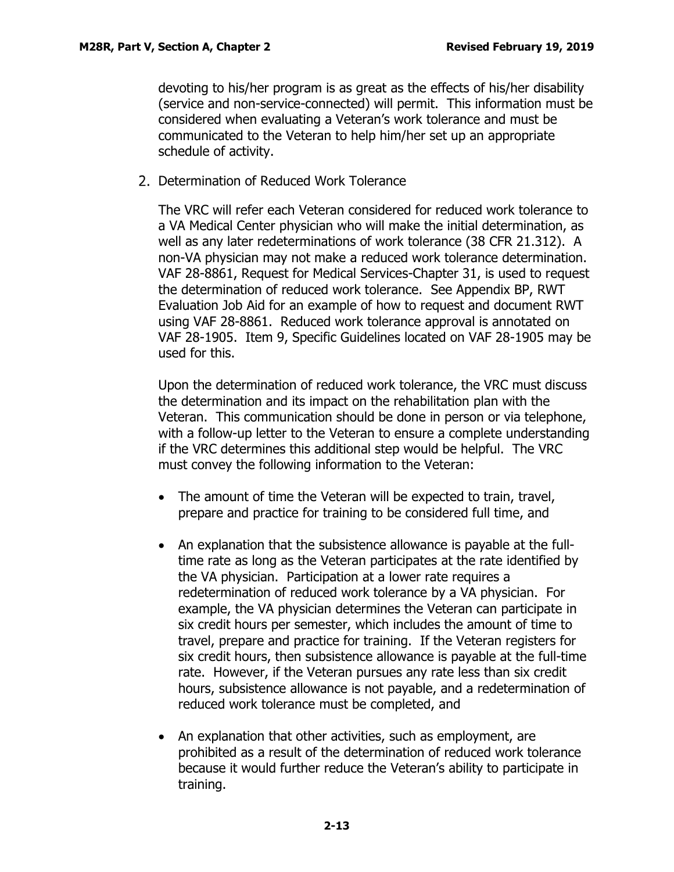devoting to his/her program is as great as the effects of his/her disability (service and non-service-connected) will permit. This information must be considered when evaluating a Veteran's work tolerance and must be communicated to the Veteran to help him/her set up an appropriate schedule of activity.

2. Determination of Reduced Work Tolerance

The VRC will refer each Veteran considered for reduced work tolerance to a VA Medical Center physician who will make the initial determination, as well as any later redeterminations of work tolerance (38 CFR 21.312). A non-VA physician may not make a reduced work tolerance determination. VAF 28-8861, Request for Medical Services-Chapter 31, is used to request the determination of reduced work tolerance. See Appendix BP, RWT Evaluation Job Aid for an example of how to request and document RWT using VAF 28-8861. Reduced work tolerance approval is annotated on VAF 28-1905. Item 9, Specific Guidelines located on VAF 28-1905 may be used for this.

Upon the determination of reduced work tolerance, the VRC must discuss the determination and its impact on the rehabilitation plan with the Veteran. This communication should be done in person or via telephone, with a follow-up letter to the Veteran to ensure a complete understanding if the VRC determines this additional step would be helpful. The VRC must convey the following information to the Veteran:

- The amount of time the Veteran will be expected to train, travel, prepare and practice for training to be considered full time, and
- An explanation that the subsistence allowance is payable at the fulltime rate as long as the Veteran participates at the rate identified by the VA physician. Participation at a lower rate requires a redetermination of reduced work tolerance by a VA physician. For example, the VA physician determines the Veteran can participate in six credit hours per semester, which includes the amount of time to travel, prepare and practice for training. If the Veteran registers for six credit hours, then subsistence allowance is payable at the full-time rate. However, if the Veteran pursues any rate less than six credit hours, subsistence allowance is not payable, and a redetermination of reduced work tolerance must be completed, and
- An explanation that other activities, such as employment, are prohibited as a result of the determination of reduced work tolerance because it would further reduce the Veteran's ability to participate in training.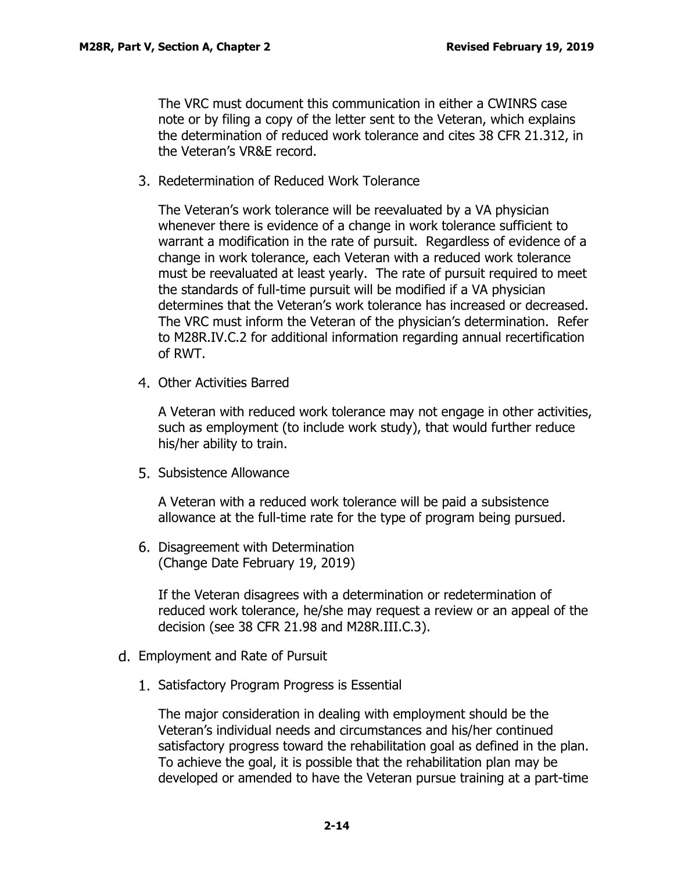The VRC must document this communication in either a CWINRS case note or by filing a copy of the letter sent to the Veteran, which explains the determination of reduced work tolerance and cites 38 CFR 21.312, in the Veteran's VR&E record.

3. Redetermination of Reduced Work Tolerance

The Veteran's work tolerance will be reevaluated by a VA physician whenever there is evidence of a change in work tolerance sufficient to warrant a modification in the rate of pursuit. Regardless of evidence of a change in work tolerance, each Veteran with a reduced work tolerance must be reevaluated at least yearly. The rate of pursuit required to meet the standards of full-time pursuit will be modified if a VA physician determines that the Veteran's work tolerance has increased or decreased. The VRC must inform the Veteran of the physician's determination. Refer to M28R.IV.C.2 for additional information regarding annual recertification of RWT.

Other Activities Barred

A Veteran with reduced work tolerance may not engage in other activities, such as employment (to include work study), that would further reduce his/her ability to train.

5. Subsistence Allowance

A Veteran with a reduced work tolerance will be paid a subsistence allowance at the full-time rate for the type of program being pursued.

6. Disagreement with Determination (Change Date February 19, 2019)

If the Veteran disagrees with a determination or redetermination of reduced work tolerance, he/she may request a review or an appeal of the decision (see 38 CFR 21.98 and M28R.III.C.3).

- <span id="page-14-0"></span>Employment and Rate of Pursuit
	- 1. Satisfactory Program Progress is Essential

The major consideration in dealing with employment should be the Veteran's individual needs and circumstances and his/her continued satisfactory progress toward the rehabilitation goal as defined in the plan. To achieve the goal, it is possible that the rehabilitation plan may be developed or amended to have the Veteran pursue training at a part-time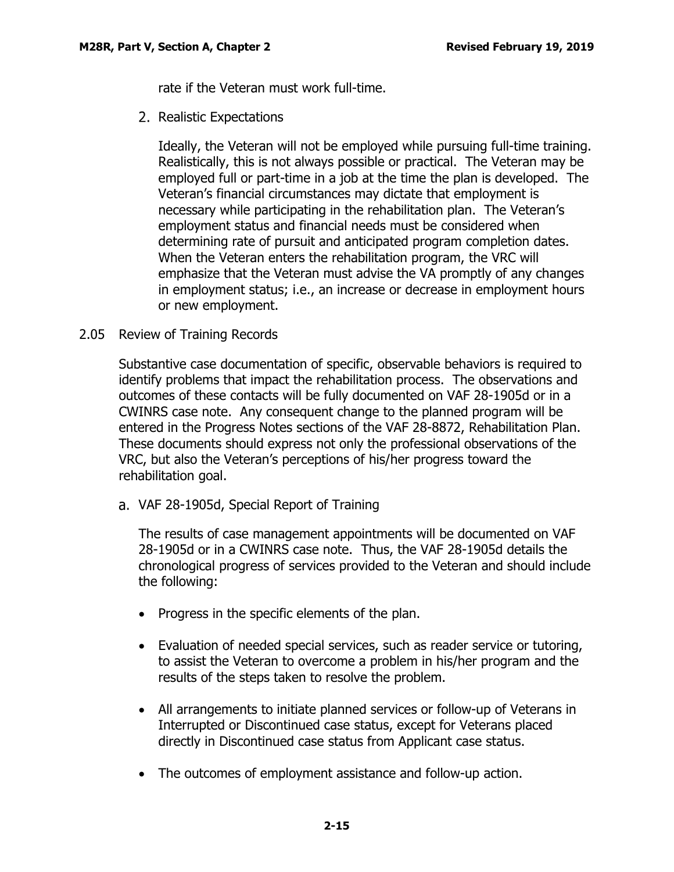rate if the Veteran must work full-time.

2. Realistic Expectations

Ideally, the Veteran will not be employed while pursuing full-time training. Realistically, this is not always possible or practical. The Veteran may be employed full or part-time in a job at the time the plan is developed. The Veteran's financial circumstances may dictate that employment is necessary while participating in the rehabilitation plan. The Veteran's employment status and financial needs must be considered when determining rate of pursuit and anticipated program completion dates. When the Veteran enters the rehabilitation program, the VRC will emphasize that the Veteran must advise the VA promptly of any changes in employment status; i.e., an increase or decrease in employment hours or new employment.

## <span id="page-15-0"></span>2.05 Review of Training Records

Substantive case documentation of specific, observable behaviors is required to identify problems that impact the rehabilitation process. The observations and outcomes of these contacts will be fully documented on VAF 28-1905d or in a CWINRS case note. Any consequent change to the planned program will be entered in the Progress Notes sections of the VAF 28-8872, Rehabilitation Plan. These documents should express not only the professional observations of the VRC, but also the Veteran's perceptions of his/her progress toward the rehabilitation goal.

<span id="page-15-1"></span>VAF 28-1905d, Special Report of Training

The results of case management appointments will be documented on VAF 28-1905d or in a CWINRS case note. Thus, the VAF 28-1905d details the chronological progress of services provided to the Veteran and should include the following:

- Progress in the specific elements of the plan.
- Evaluation of needed special services, such as reader service or tutoring, to assist the Veteran to overcome a problem in his/her program and the results of the steps taken to resolve the problem.
- All arrangements to initiate planned services or follow-up of Veterans in Interrupted or Discontinued case status, except for Veterans placed directly in Discontinued case status from Applicant case status.
- The outcomes of employment assistance and follow-up action.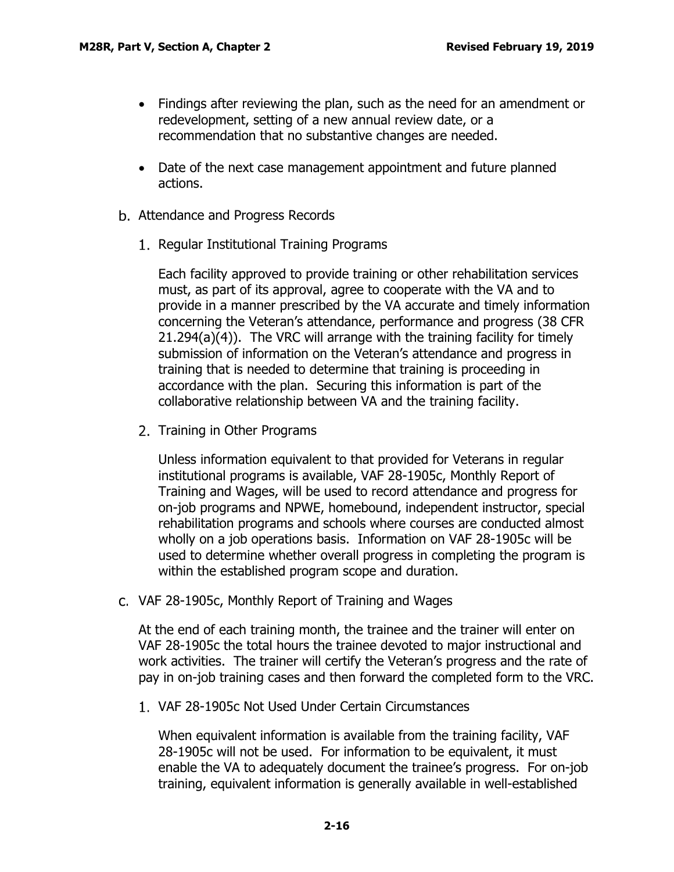- Findings after reviewing the plan, such as the need for an amendment or redevelopment, setting of a new annual review date, or a recommendation that no substantive changes are needed.
- Date of the next case management appointment and future planned actions.
- <span id="page-16-0"></span>b. Attendance and Progress Records
	- 1. Regular Institutional Training Programs

Each facility approved to provide training or other rehabilitation services must, as part of its approval, agree to cooperate with the VA and to provide in a manner prescribed by the VA accurate and timely information concerning the Veteran's attendance, performance and progress (38 CFR 21.294(a)(4)). The VRC will arrange with the training facility for timely submission of information on the Veteran's attendance and progress in training that is needed to determine that training is proceeding in accordance with the plan. Securing this information is part of the collaborative relationship between VA and the training facility.

2. Training in Other Programs

Unless information equivalent to that provided for Veterans in regular institutional programs is available, VAF 28-1905c, Monthly Report of Training and Wages, will be used to record attendance and progress for on-job programs and NPWE, homebound, independent instructor, special rehabilitation programs and schools where courses are conducted almost wholly on a job operations basis. Information on VAF 28-1905c will be used to determine whether overall progress in completing the program is within the established program scope and duration.

<span id="page-16-1"></span>c. VAF 28-1905c, Monthly Report of Training and Wages

At the end of each training month, the trainee and the trainer will enter on VAF 28-1905c the total hours the trainee devoted to major instructional and work activities. The trainer will certify the Veteran's progress and the rate of pay in on-job training cases and then forward the completed form to the VRC.

VAF 28-1905c Not Used Under Certain Circumstances

When equivalent information is available from the training facility, VAF 28-1905c will not be used. For information to be equivalent, it must enable the VA to adequately document the trainee's progress. For on-job training, equivalent information is generally available in well-established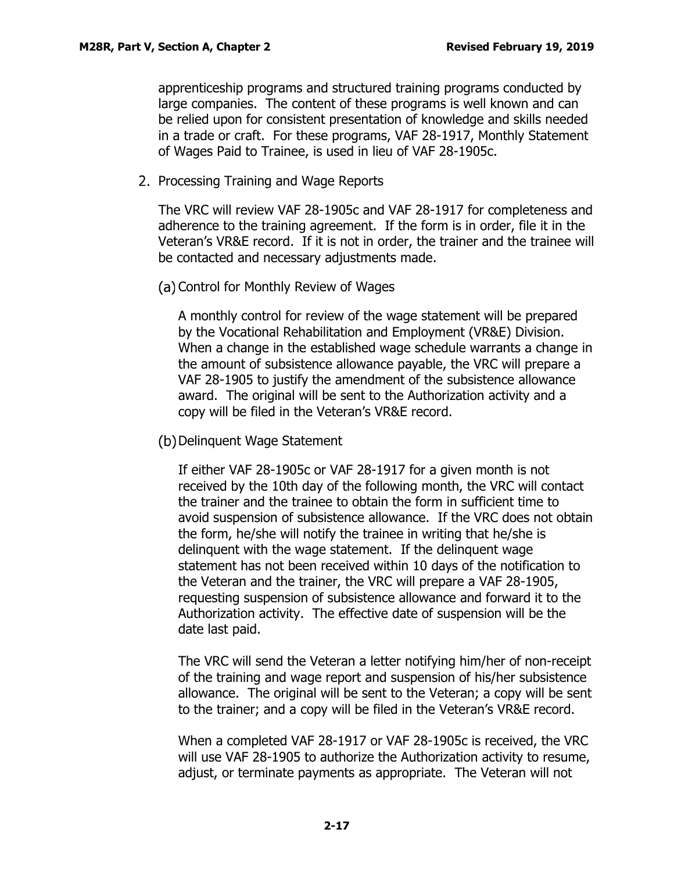apprenticeship programs and structured training programs conducted by large companies. The content of these programs is well known and can be relied upon for consistent presentation of knowledge and skills needed in a trade or craft. For these programs, VAF 28-1917, Monthly Statement of Wages Paid to Trainee, is used in lieu of VAF 28-1905c.

2. Processing Training and Wage Reports

The VRC will review VAF 28-1905c and VAF 28-1917 for completeness and adherence to the training agreement. If the form is in order, file it in the Veteran's VR&E record. If it is not in order, the trainer and the trainee will be contacted and necessary adjustments made.

(a) Control for Monthly Review of Wages

A monthly control for review of the wage statement will be prepared by the Vocational Rehabilitation and Employment (VR&E) Division. When a change in the established wage schedule warrants a change in the amount of subsistence allowance payable, the VRC will prepare a VAF 28-1905 to justify the amendment of the subsistence allowance award. The original will be sent to the Authorization activity and a copy will be filed in the Veteran's VR&E record.

(b) Delinquent Wage Statement

If either VAF 28-1905c or VAF 28-1917 for a given month is not received by the 10th day of the following month, the VRC will contact the trainer and the trainee to obtain the form in sufficient time to avoid suspension of subsistence allowance. If the VRC does not obtain the form, he/she will notify the trainee in writing that he/she is delinquent with the wage statement. If the delinquent wage statement has not been received within 10 days of the notification to the Veteran and the trainer, the VRC will prepare a VAF 28-1905, requesting suspension of subsistence allowance and forward it to the Authorization activity. The effective date of suspension will be the date last paid.

The VRC will send the Veteran a letter notifying him/her of non-receipt of the training and wage report and suspension of his/her subsistence allowance. The original will be sent to the Veteran; a copy will be sent to the trainer; and a copy will be filed in the Veteran's VR&E record.

When a completed VAF 28-1917 or VAF 28-1905c is received, the VRC will use VAF 28-1905 to authorize the Authorization activity to resume, adjust, or terminate payments as appropriate. The Veteran will not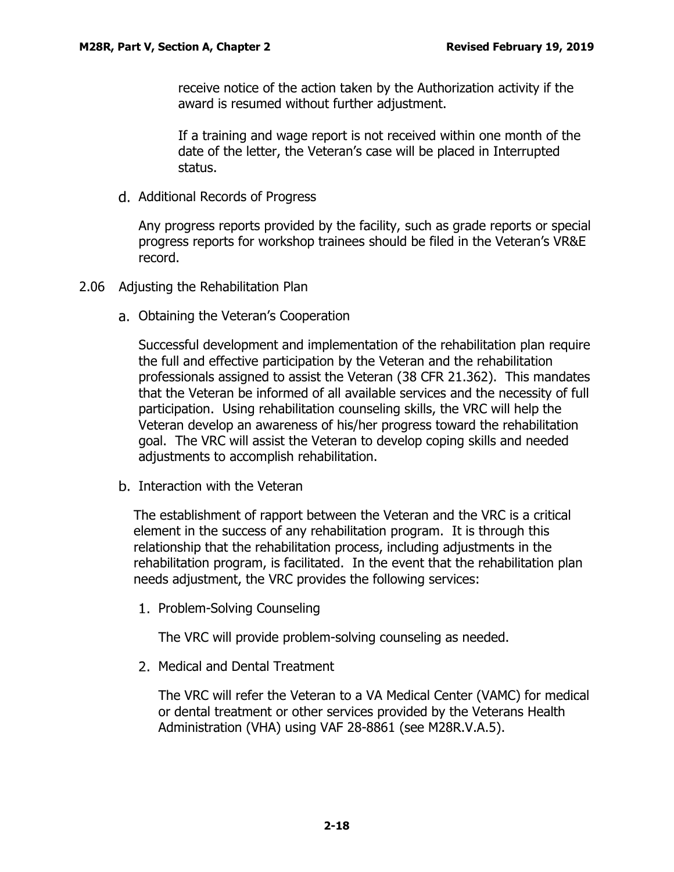receive notice of the action taken by the Authorization activity if the award is resumed without further adjustment.

If a training and wage report is not received within one month of the date of the letter, the Veteran's case will be placed in Interrupted status.

<span id="page-18-0"></span>d. Additional Records of Progress

Any progress reports provided by the facility, such as grade reports or special progress reports for workshop trainees should be filed in the Veteran's VR&E record.

- <span id="page-18-2"></span><span id="page-18-1"></span>2.06 Adjusting the Rehabilitation Plan
	- Obtaining the Veteran's Cooperation

Successful development and implementation of the rehabilitation plan require the full and effective participation by the Veteran and the rehabilitation professionals assigned to assist the Veteran (38 CFR 21.362). This mandates that the Veteran be informed of all available services and the necessity of full participation. Using rehabilitation counseling skills, the VRC will help the Veteran develop an awareness of his/her progress toward the rehabilitation goal. The VRC will assist the Veteran to develop coping skills and needed adjustments to accomplish rehabilitation.

<span id="page-18-3"></span>b. Interaction with the Veteran

The establishment of rapport between the Veteran and the VRC is a critical element in the success of any rehabilitation program. It is through this relationship that the rehabilitation process, including adjustments in the rehabilitation program, is facilitated. In the event that the rehabilitation plan needs adjustment, the VRC provides the following services:

1. Problem-Solving Counseling

The VRC will provide problem-solving counseling as needed.

2. Medical and Dental Treatment

The VRC will refer the Veteran to a VA Medical Center (VAMC) for medical or dental treatment or other services provided by the Veterans Health Administration (VHA) using VAF 28-8861 (see M28R.V.A.5).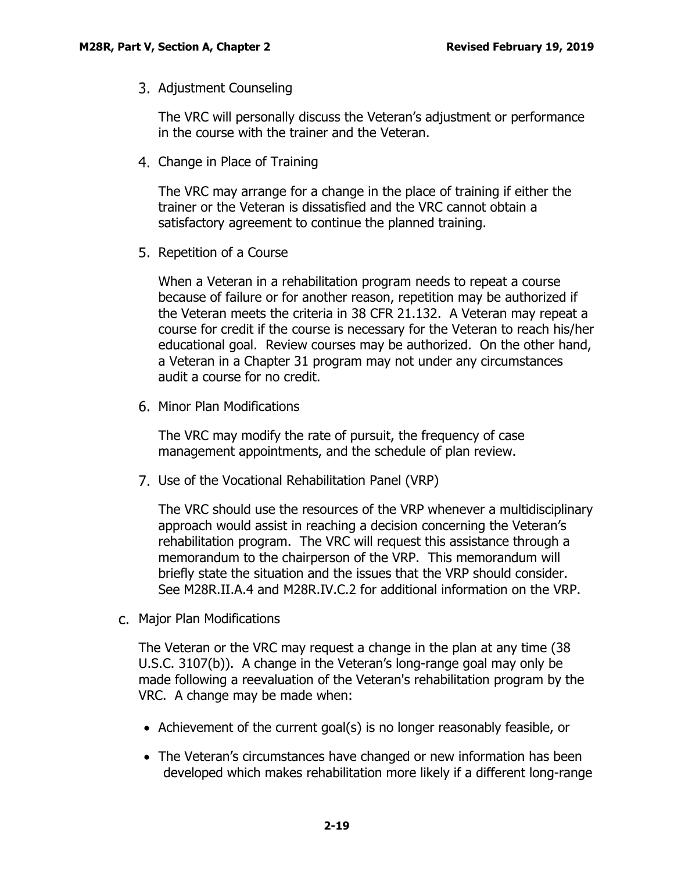3. Adjustment Counseling

The VRC will personally discuss the Veteran's adjustment or performance in the course with the trainer and the Veteran.

Change in Place of Training

The VRC may arrange for a change in the place of training if either the trainer or the Veteran is dissatisfied and the VRC cannot obtain a satisfactory agreement to continue the planned training.

5. Repetition of a Course

When a Veteran in a rehabilitation program needs to repeat a course because of failure or for another reason, repetition may be authorized if the Veteran meets the criteria in 38 CFR 21.132. A Veteran may repeat a course for credit if the course is necessary for the Veteran to reach his/her educational goal. Review courses may be authorized. On the other hand, a Veteran in a Chapter 31 program may not under any circumstances audit a course for no credit.

6. Minor Plan Modifications

The VRC may modify the rate of pursuit, the frequency of case management appointments, and the schedule of plan review.

Use of the Vocational Rehabilitation Panel (VRP)

The VRC should use the resources of the VRP whenever a multidisciplinary approach would assist in reaching a decision concerning the Veteran's rehabilitation program. The VRC will request this assistance through a memorandum to the chairperson of the VRP. This memorandum will briefly state the situation and the issues that the VRP should consider. See M28R.II.A.4 and M28R.IV.C.2 for additional information on the VRP.

<span id="page-19-0"></span>Major Plan Modifications

The Veteran or the VRC may request a change in the plan at any time (38 U.S.C. 3107(b)). A change in the Veteran's long-range goal may only be made following a reevaluation of the Veteran's rehabilitation program by the VRC. A change may be made when:

- Achievement of the current goal(s) is no longer reasonably feasible, or
- The Veteran's circumstances have changed or new information has been developed which makes rehabilitation more likely if a different long-range